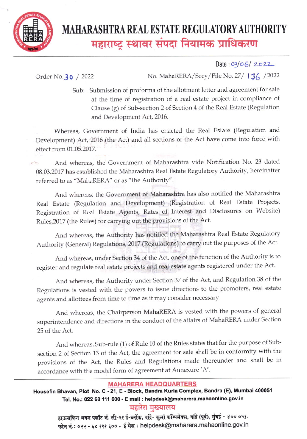

# **MAHARASHTRA REAL ESTATE REGULATORY AUTHORITY** महाराष्ट्र स्थावर संपदा नियामक प्राधिकरण

Date: 03/06/2022

Order No. 30 / 2022

No. MahaRERA/Secy/File No. 27/ 136 / 2022

Sub: - Submission of proforma of the allotment letter and agreement for sale at the time of registration of a real estate project in compliance of Clause (g) of Sub-section 2 of Section 4 of the Real Estate (Regulation and Development Act, 2016.

Whereas, Government of India has enacted the Real Estate (Regulation and Development) Act, 2016 (the Act) and all sections of the Act have come into force with effect from 01.05.2017.

And whereas, the Government of Maharashtra vide Notification No. 23 dated 08.03.2017 has established the Maharashtra Real Estate Regulatory Authority, hereinafter referred to as "MahaRERA" or as "the Authority".

And whereas, the Government of Maharashtra has also notified the Maharashtra Real Estate (Regulation and Development) (Registration of Real Estate Projects, Registration of Real Estate Agents, Rates of Interest and Disclosures on Website) Rules, 2017 (the Rules) for carrying out the provisions of the Act.

And whereas, the Authority has notified the Maharashtra Real Estate Regulatory Authority (General) Regulations, 2017 (Regulations) to carry out the purposes of the Act.

And whereas, under Section 34 of the Act, one of the function of the Authority is to register and regulate real estate projects and real estate agents registered under the Act.

And whereas, the Authority under Section 37 of the Act, and Regulation 38 of the Regulations is vested with the powers to issue directions to the promoters, real estate agents and allottees from time to time as it may consider necessary.

And whereas, the Chairperson MahaRERA is vested with the powers of general superintendence and directions in the conduct of the affairs of MahaRERA under Section 25 of the Act.

And whereas, Sub-rule (1) of Rule 10 of the Rules states that for the purpose of Subsection 2 of Section 13 of the Act, the agreement for sale shall be in conformity with the provisions of the Act, the Rules and Regulations made thereunder and shall be in accordance with the model form of agreement at Annexure 'A'.

### **MAHARERA HEADQUARTERS**

Housefin Bhavan, Plot No. C - 21, E - Block, Bandra Kurla Complex, Bandra (E), Mumbai 400051 Tel. No.: 022 68 111 600 · E mail : helpdesk@maharera.mahaonline.gov.in

## महारेरा मख्यालय

हाऊसफिन भवन पलॉट नं. सी-२१ ई-ब्लॉक, वांद्रे- कुर्ला कॉम्पलेक्स, वांद्रे (पूर्व), मुंबई - ४०० ०५१. फोन नं.: ०२२ - ६८ १११ ६०० . ई मेल: helpdesk@maharera.mahaonline.gov.in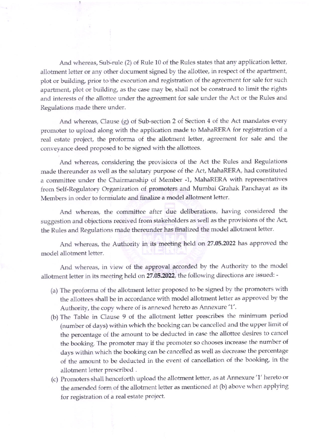And whereas, Sub-rule (2) of Rule 10 of the Rules states that any application letter, allotment letter or any other document signed by the allottee, in respect of the apartment, plot or building, prior to the execution and registration of the agreement for sale for such apartment, plot or building, as the case may be, shall not be construed to limit the rights and interests of the allottee under the agreement for sale under the Act or the Rules and Regulations made there under.

And whereas, Clause (g) of Sub-section 2 of Section 4 of the Act mandates every promoter to upload along with the application made to MahaRERA for registration of a real estate project, the proforma of the allotment letter, agreement for sale and the conveyance deed proposed to be signed with the allottees.

And whereas, considering the provisions of the Act the Rules and Regulations made thereunder as well as the salutary purpose of the Act, MahaRERA, had constituted a committee under the Chairmanship of Member -1, MahaRERA with representatives from Setf-Regulatory Organization of promoters and Mumbai Grahak Panchayat as its Members in order to formulate and finalize a model allotment letter.

And whereas, the committee after due deliberations, having considered the suggestion and obiections received from stakeholders as well as the Provisions of the Act, the Rules and Regulations made thereunder has finalized the model allotment letter.

And whereas, the Authority in its meeting held on 27.05.2022 has approved the model allotment letter.

And whereas, in view of the approval accorded by the Authority to the model allotment letter in its meeting held on 27.05.2022, the following directions are issued: -

- (a) The proforma of the allotment letter proposed to be signed by the promoters with the allottees shall be in accordance with model allotment letter as approved by the Authority, the copy where of is annexed hereto as Annexure '1'.
- (b) The Table in Clause 9 of the allotment letter prescribes the minimum period (number of days) within which the booking can be cancelled and the upper limit of the percentage of the amount to be deducted in case the allottee desires to cancel the booking. The promoter may if the promoter so chooses increase the number of days within which the booking can be cancelled as well as decrease the Percentage of the amount to be deducted in the event of cancellation of the booking, in the allotment letter prescribed.
- (c) Promoters shall henceforth upload the allotment letter, as at Annexure '1' hereto or the amended form of the allotment letter as mentioned at (b) above when applying for registration of a real estate project.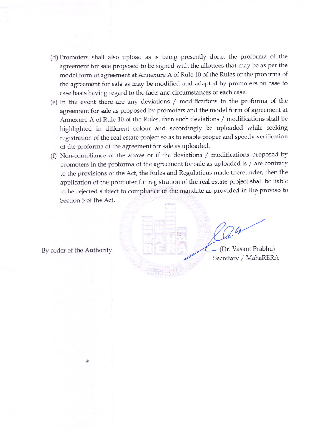- (d) Promoters shall also upload as is being presently done, the proforma of the agreement for sale proposed to be signed with the allottees that may be as per the model form of agreement at Annexure A of Rule 10 of the Rules or the Protorma of the agreement for sale as may be modified and adapted by promoters on case to case basis having regard to the facts and circumstances of each case.
- (e) In the event there are any deviations / modifications in the proforma of the agreement for sale as proposed by promoters and the model form of agreement at Annexure A of Rule 10 of the Rules, then such deviations / modifications shall be highlighted in different colour and accordingly be uploaded while seeking registration of the real estate project so as to enable proper and speedy verification of the proforma of the agreement Ior sale as uploaded.
- (f) Non-compliance of the above or if the deviations  $/$  modifications proposed by promoters in the proforma of the agreement for sale as uploaded is / are contrary to the provisions of the Act, the Rules and Regulations made thereunder, then the application of the promoter for registration of the real estate project shall be liable to be rejected subject to compliance of the mandate as provided in the proviso to Section 5 of the Act.

 $24$ By order of the Authority (Dr. Vasant Prabhu)

Secretary / MahaRERA